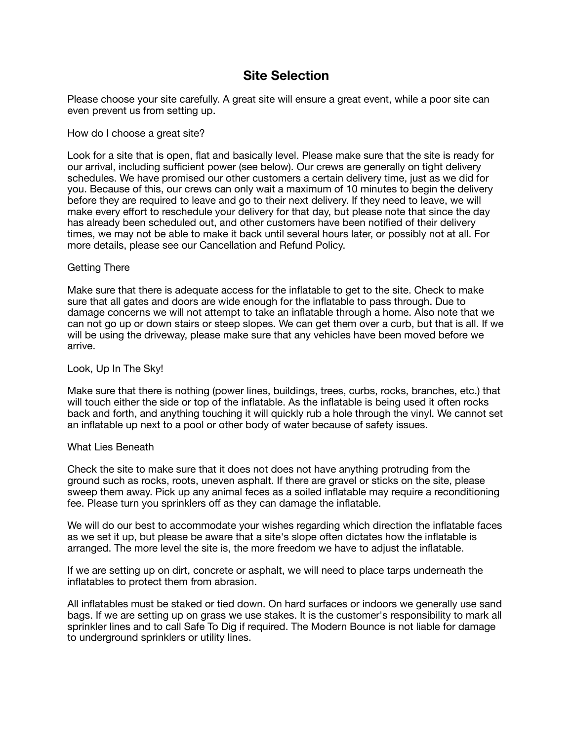# **Site Selection**

Please choose your site carefully. A great site will ensure a great event, while a poor site can even prevent us from setting up.

## How do I choose a great site?

Look for a site that is open, flat and basically level. Please make sure that the site is ready for our arrival, including sufficient power (see below). Our crews are generally on tight delivery schedules. We have promised our other customers a certain delivery time, just as we did for you. Because of this, our crews can only wait a maximum of 10 minutes to begin the delivery before they are required to leave and go to their next delivery. If they need to leave, we will make every effort to reschedule your delivery for that day, but please note that since the day has already been scheduled out, and other customers have been notified of their delivery times, we may not be able to make it back until several hours later, or possibly not at all. For more details, please see our Cancellation and Refund Policy.

## Getting There

Make sure that there is adequate access for the inflatable to get to the site. Check to make sure that all gates and doors are wide enough for the inflatable to pass through. Due to damage concerns we will not attempt to take an inflatable through a home. Also note that we can not go up or down stairs or steep slopes. We can get them over a curb, but that is all. If we will be using the driveway, please make sure that any vehicles have been moved before we arrive.

#### Look, Up In The Sky!

Make sure that there is nothing (power lines, buildings, trees, curbs, rocks, branches, etc.) that will touch either the side or top of the inflatable. As the inflatable is being used it often rocks back and forth, and anything touching it will quickly rub a hole through the vinyl. We cannot set an inflatable up next to a pool or other body of water because of safety issues.

#### What Lies Beneath

Check the site to make sure that it does not does not have anything protruding from the ground such as rocks, roots, uneven asphalt. If there are gravel or sticks on the site, please sweep them away. Pick up any animal feces as a soiled inflatable may require a reconditioning fee. Please turn you sprinklers off as they can damage the inflatable.

We will do our best to accommodate your wishes regarding which direction the inflatable faces as we set it up, but please be aware that a site's slope often dictates how the inflatable is arranged. The more level the site is, the more freedom we have to adjust the inflatable.

If we are setting up on dirt, concrete or asphalt, we will need to place tarps underneath the inflatables to protect them from abrasion.

All inflatables must be staked or tied down. On hard surfaces or indoors we generally use sand bags. If we are setting up on grass we use stakes. It is the customer's responsibility to mark all sprinkler lines and to call Safe To Dig if required. The Modern Bounce is not liable for damage to underground sprinklers or utility lines.